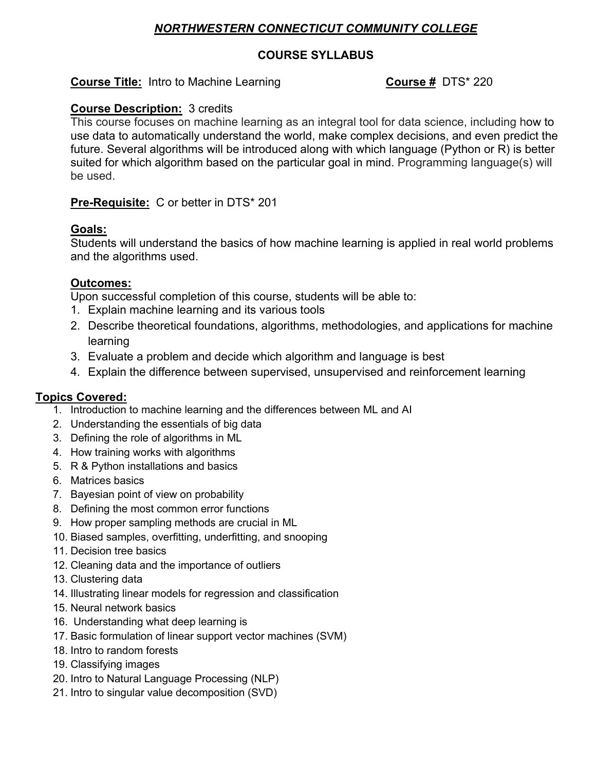# *NORTHWESTERN CONNECTICUT COMMUNITY COLLEGE*

# **COURSE SYLLABUS**

# **Course Title:** Intro to Machine Learning **COUTSE # DTS**\* 220

# **Course Description:** 3 credits

This course focuses on machine learning as an integral tool for data science, including how to use data to automatically understand the world, make complex decisions, and even predict the future. Several algorithms will be introduced along with which language (Python or R) is better suited for which algorithm based on the particular goal in mind. Programming language(s) will be used.

# **Pre-Requisite:** C or better in DTS\* 201

# **Goals:**

Students will understand the basics of how machine learning is applied in real world problems and the algorithms used.

### **Outcomes:**

Upon successful completion of this course, students will be able to:

- 1. Explain machine learning and its various tools
- 2. Describe theoretical foundations, algorithms, methodologies, and applications for machine learning
- 3. Evaluate a problem and decide which algorithm and language is best
- 4. Explain the difference between supervised, unsupervised and reinforcement learning

# **Topics Covered:**

- 1. Introduction to machine learning and the differences between ML and AI
- 2. Understanding the essentials of big data
- 3. Defining the role of algorithms in ML
- 4. How training works with algorithms
- 5. R & Python installations and basics
- 6. Matrices basics
- 7. Bayesian point of view on probability
- 8. Defining the most common error functions
- 9. How proper sampling methods are crucial in ML
- 10. Biased samples, overfitting, underfitting, and snooping
- 11. Decision tree basics
- 12. Cleaning data and the importance of outliers
- 13. Clustering data
- 14. Illustrating linear models for regression and classification
- 15. Neural network basics
- 16. Understanding what deep learning is
- 17. Basic formulation of linear support vector machines (SVM)
- 18. Intro to random forests
- 19. Classifying images
- 20. Intro to Natural Language Processing (NLP)
- 21. Intro to singular value decomposition (SVD)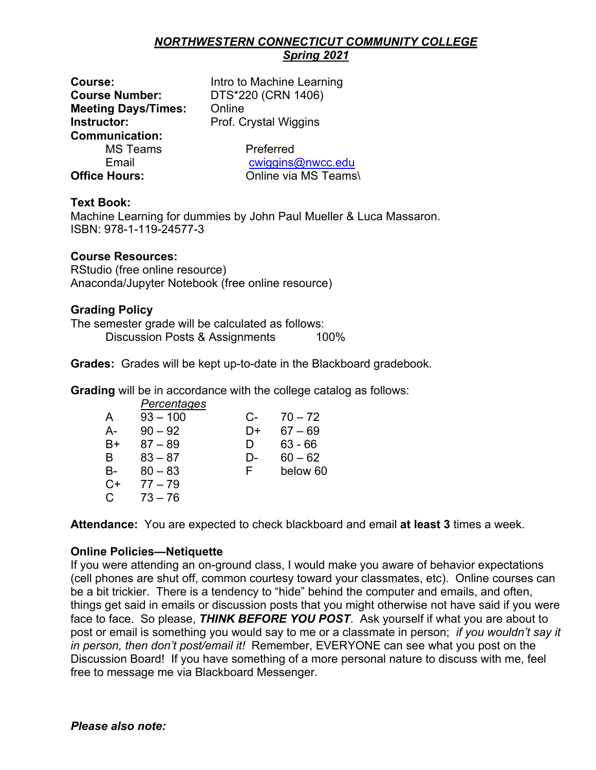#### *NORTHWESTERN CONNECTICUT COMMUNITY COLLEGE Spring 2021*

**Course Number:** DTS\*220 (CRN 1406) **Meeting Days/Times:** Online **Instructor:** Prof. Crystal Wiggins **Communication:** MS Teams Preferred

**Course:** Intro to Machine Learning

Email cwiggins@nwcc.edu **Office Hours:** Online via MS Teams\

### **Text Book:**

Machine Learning for dummies by John Paul Mueller & Luca Massaron. ISBN: 978-1-119-24577-3

### **Course Resources:**

RStudio (free online resource) Anaconda/Jupyter Notebook (free online resource)

#### **Grading Policy**

The semester grade will be calculated as follows: Discussion Posts & Assignments 100%

**Grades:** Grades will be kept up-to-date in the Blackboard gradebook.

**Grading** will be in accordance with the college catalog as follows:

|      | Percentages |    |           |
|------|-------------|----|-----------|
| A    | $93 - 100$  | C- | $70 - 72$ |
| А-   | $90 - 92$   | D+ | $67 - 69$ |
| B+   | $87 - 89$   | D  | 63 - 66   |
| B    | $83 - 87$   | D- | $60 - 62$ |
| B-   | $80 - 83$   | F  | below 60  |
| $C+$ | $77 - 79$   |    |           |
| C    | $73 - 76$   |    |           |

**Attendance:** You are expected to check blackboard and email **at least 3** times a week.

# **Online Policies—Netiquette**

If you were attending an on-ground class, I would make you aware of behavior expectations (cell phones are shut off, common courtesy toward your classmates, etc). Online courses can be a bit trickier. There is a tendency to "hide" behind the computer and emails, and often, things get said in emails or discussion posts that you might otherwise not have said if you were face to face. So please, *THINK BEFORE YOU POST*. Ask yourself if what you are about to post or email is something you would say to me or a classmate in person; *if you wouldn't say it in person, then don't post/email it!* Remember, EVERYONE can see what you post on the Discussion Board! If you have something of a more personal nature to discuss with me, feel free to message me via Blackboard Messenger.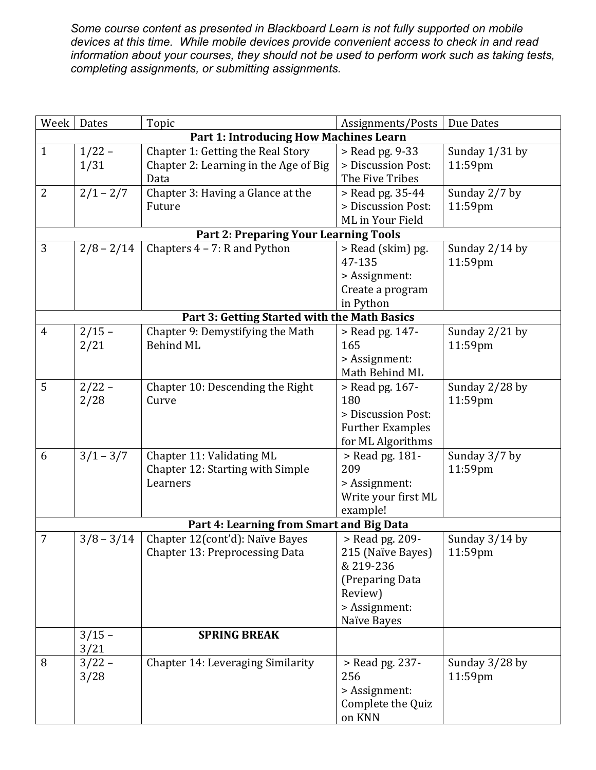*Some course content as presented in Blackboard Learn is not fully supported on mobile devices at this time. While mobile devices provide convenient access to check in and read information about your courses, they should not be used to perform work such as taking tests, completing assignments, or submitting assignments.*

| Week           | Dates                                        | Topic                                         | Assignments/Posts           | Due Dates                 |  |  |
|----------------|----------------------------------------------|-----------------------------------------------|-----------------------------|---------------------------|--|--|
|                |                                              | <b>Part 1: Introducing How Machines Learn</b> |                             |                           |  |  |
| $\mathbf{1}$   | $1/22 -$                                     | Chapter 1: Getting the Real Story             | > Read pg. 9-33             | Sunday 1/31 by            |  |  |
|                | 1/31                                         | Chapter 2: Learning in the Age of Big         | > Discussion Post:          | 11:59pm                   |  |  |
|                |                                              | Data                                          | The Five Tribes             |                           |  |  |
| $\overline{2}$ | $2/1 - 2/7$                                  | Chapter 3: Having a Glance at the             | > Read pg. 35-44            | Sunday 2/7 by             |  |  |
|                |                                              | Future                                        | > Discussion Post:          | 11:59pm                   |  |  |
|                |                                              |                                               | ML in Your Field            |                           |  |  |
|                | <b>Part 2: Preparing Your Learning Tools</b> |                                               |                             |                           |  |  |
| 3              | $2/8 - 2/14$                                 | Chapters $4 - 7$ : R and Python               | > Read (skim) pg.           | Sunday 2/14 by            |  |  |
|                |                                              |                                               | 47-135                      | 11:59pm                   |  |  |
|                |                                              |                                               | > Assignment:               |                           |  |  |
|                |                                              |                                               | Create a program            |                           |  |  |
|                |                                              |                                               | in Python                   |                           |  |  |
|                |                                              | Part 3: Getting Started with the Math Basics  |                             |                           |  |  |
| $\overline{4}$ | $2/15 -$                                     | Chapter 9: Demystifying the Math              | > Read pg. 147-             | Sunday 2/21 by            |  |  |
|                | 2/21                                         | <b>Behind ML</b>                              | 165                         | 11:59pm                   |  |  |
|                |                                              |                                               | > Assignment:               |                           |  |  |
|                |                                              |                                               | Math Behind ML              |                           |  |  |
| 5              | $2/22 -$                                     | Chapter 10: Descending the Right              | > Read pg. 167-             | Sunday 2/28 by            |  |  |
|                | 2/28                                         | Curve                                         | 180                         | 11:59pm                   |  |  |
|                |                                              |                                               | > Discussion Post:          |                           |  |  |
|                |                                              |                                               | <b>Further Examples</b>     |                           |  |  |
|                |                                              |                                               | for ML Algorithms           |                           |  |  |
| 6              | $3/1 - 3/7$                                  | Chapter 11: Validating ML                     | > Read pg. 181-             | Sunday 3/7 by             |  |  |
|                |                                              | Chapter 12: Starting with Simple              | 209                         | 11:59pm                   |  |  |
|                |                                              | Learners                                      | > Assignment:               |                           |  |  |
|                |                                              |                                               | Write your first ML         |                           |  |  |
|                |                                              |                                               | example!                    |                           |  |  |
|                |                                              | Part 4: Learning from Smart and Big Data      |                             |                           |  |  |
| 7              | $3/8 - 3/14$                                 | Chapter 12(cont'd): Naïve Bayes               | > Read pg. 209-             | Sunday 3/14 by            |  |  |
|                |                                              | <b>Chapter 13: Preprocessing Data</b>         | 215 (Naïve Bayes)           | 11:59pm                   |  |  |
|                |                                              |                                               | & 219-236                   |                           |  |  |
|                |                                              |                                               | (Preparing Data             |                           |  |  |
|                |                                              |                                               | Review)                     |                           |  |  |
|                |                                              |                                               | > Assignment:               |                           |  |  |
|                |                                              |                                               | Naïve Bayes                 |                           |  |  |
|                | $3/15 -$                                     | <b>SPRING BREAK</b>                           |                             |                           |  |  |
| 8              | 3/21<br>$3/22 -$                             | Chapter 14: Leveraging Similarity             | > Read pg. 237-             |                           |  |  |
|                | 3/28                                         |                                               | 256                         | Sunday 3/28 by<br>11:59pm |  |  |
|                |                                              |                                               | > Assignment:               |                           |  |  |
|                |                                              |                                               |                             |                           |  |  |
|                |                                              |                                               |                             |                           |  |  |
|                |                                              |                                               | Complete the Quiz<br>on KNN |                           |  |  |